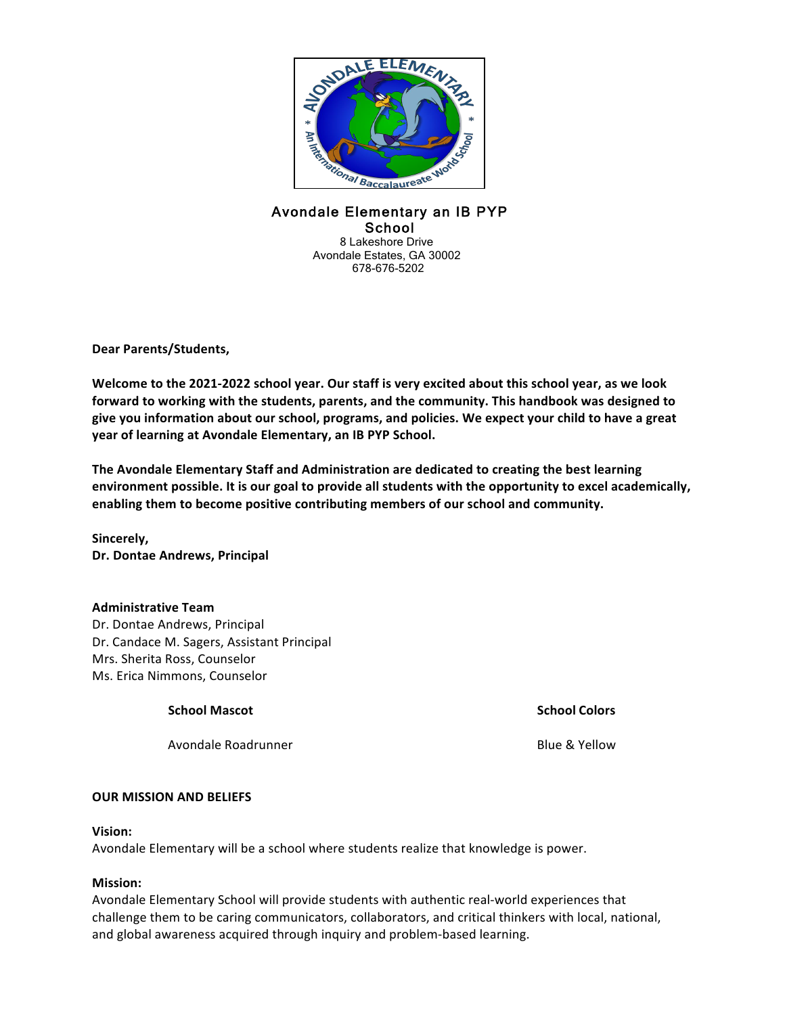

# Avondale Elementary an IB PYP School<br>8 Lakeshore Drive Avondale Estates, GA 30002 678-676-5202

**Dear Parents/Students,**

Welcome to the 2021-2022 school year. Our staff is very excited about this school year, as we look forward to working with the students, parents, and the community. This handbook was designed to give you information about our school, programs, and policies. We expect your child to have a great year of learning at Avondale Elementary, an IB PYP School.

The Avondale Elementary Staff and Administration are dedicated to creating the best learning environment possible. It is our goal to provide all students with the opportunity to excel academically, enabling them to become positive contributing members of our school and community.

**Sincerely, Dr. Dontae Andrews, Principal**

## **Administrative Team**

Dr. Dontae Andrews, Principal Dr. Candace M. Sagers, Assistant Principal Mrs. Sherita Ross, Counselor Ms. Erica Nimmons, Counselor

## **School Mascot School Colors**

Avondale Roadrunner **Blue & Yellow** 

## **OUR MISSION AND BELIEFS**

#### **Vision:**

Avondale Elementary will be a school where students realize that knowledge is power.

## **Mission:**

Avondale Elementary School will provide students with authentic real-world experiences that challenge them to be caring communicators, collaborators, and critical thinkers with local, national, and global awareness acquired through inquiry and problem-based learning.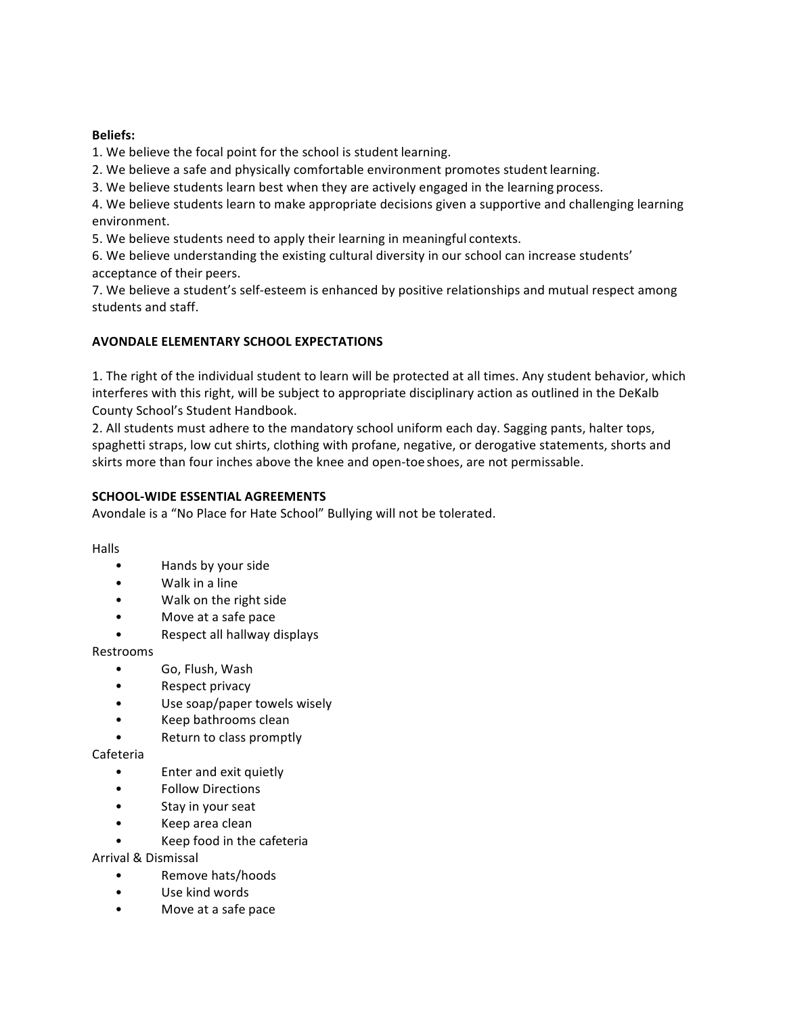## **Beliefs:**

1. We believe the focal point for the school is student learning.

2. We believe a safe and physically comfortable environment promotes student learning.

3. We believe students learn best when they are actively engaged in the learning process.

4. We believe students learn to make appropriate decisions given a supportive and challenging learning environment.

5. We believe students need to apply their learning in meaningful contexts.

6. We believe understanding the existing cultural diversity in our school can increase students' acceptance of their peers.

7. We believe a student's self-esteem is enhanced by positive relationships and mutual respect among students and staff.

# **AVONDALE ELEMENTARY SCHOOL EXPECTATIONS**

1. The right of the individual student to learn will be protected at all times. Any student behavior, which interferes with this right, will be subject to appropriate disciplinary action as outlined in the DeKalb County School's Student Handbook.

2. All students must adhere to the mandatory school uniform each day. Sagging pants, halter tops, spaghetti straps, low cut shirts, clothing with profane, negative, or derogative statements, shorts and skirts more than four inches above the knee and open-toe shoes, are not permissable.

# **SCHOOL-WIDE ESSENTIAL AGREEMENTS**

Avondale is a "No Place for Hate School" Bullying will not be tolerated.

Halls

- Hands by your side
- Walk in a line
- Walk on the right side
- Move at a safe pace
- Respect all hallway displays

Restrooms

- Go, Flush, Wash
- Respect privacy
- Use soap/paper towels wisely
- Keep bathrooms clean
- Return to class promptly

Cafeteria

- Enter and exit quietly
- Follow Directions
- Stay in your seat
- Keep area clean
- Keep food in the cafeteria

Arrival & Dismissal

- Remove hats/hoods
- Use kind words
- Move at a safe pace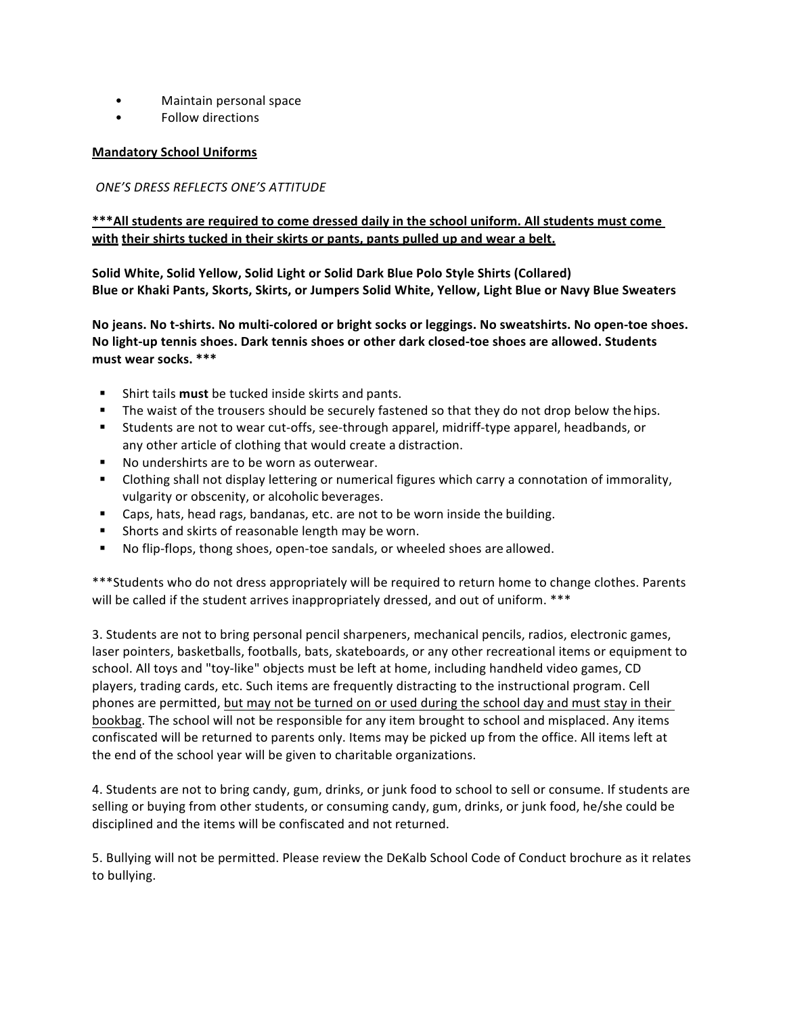- Maintain personal space
- Follow directions

# **Mandatory School Uniforms**

# *ONE'S DRESS REFLECTS ONE'S ATTITUDE*

# \*\*\*All students are required to come dressed daily in the school uniform. All students must come with their shirts tucked in their skirts or pants, pants pulled up and wear a belt.

Solid White, Solid Yellow, Solid Light or Solid Dark Blue Polo Style Shirts (Collared) Blue or Khaki Pants, Skorts, Skirts, or Jumpers Solid White, Yellow, Light Blue or Navy Blue Sweaters

No jeans. No t-shirts. No multi-colored or bright socks or leggings. No sweatshirts. No open-toe shoes. No light-up tennis shoes. Dark tennis shoes or other dark closed-toe shoes are allowed. Students **must wear socks. \*\*\***

- Shirt tails **must** be tucked inside skirts and pants.
- The waist of the trousers should be securely fastened so that they do not drop below the hips.
- Students are not to wear cut-offs, see-through apparel, midriff-type apparel, headbands, or any other article of clothing that would create a distraction.
- No undershirts are to be worn as outerwear.
- Clothing shall not display lettering or numerical figures which carry a connotation of immorality, vulgarity or obscenity, or alcoholic beverages.
- Caps, hats, head rags, bandanas, etc. are not to be worn inside the building.
- Shorts and skirts of reasonable length may be worn.
- No flip-flops, thong shoes, open-toe sandals, or wheeled shoes are allowed.

\*\*\*Students who do not dress appropriately will be required to return home to change clothes. Parents will be called if the student arrives inappropriately dressed, and out of uniform. \*\*\*

3. Students are not to bring personal pencil sharpeners, mechanical pencils, radios, electronic games, laser pointers, basketballs, footballs, bats, skateboards, or any other recreational items or equipment to school. All toys and "toy-like" objects must be left at home, including handheld video games, CD players, trading cards, etc. Such items are frequently distracting to the instructional program. Cell phones are permitted, but may not be turned on or used during the school day and must stay in their bookbag. The school will not be responsible for any item brought to school and misplaced. Any items confiscated will be returned to parents only. Items may be picked up from the office. All items left at the end of the school year will be given to charitable organizations.

4. Students are not to bring candy, gum, drinks, or junk food to school to sell or consume. If students are selling or buying from other students, or consuming candy, gum, drinks, or junk food, he/she could be disciplined and the items will be confiscated and not returned.

5. Bullying will not be permitted. Please review the DeKalb School Code of Conduct brochure as it relates to bullying.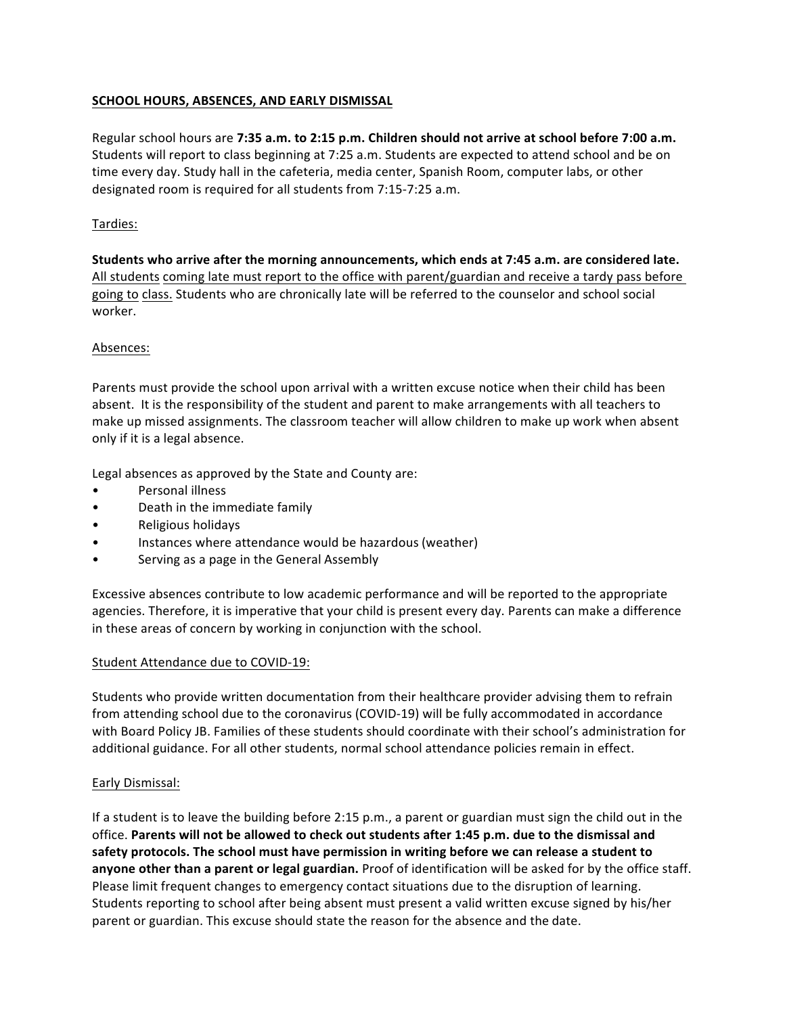# **SCHOOL HOURS, ABSENCES, AND EARLY DISMISSAL**

Regular school hours are 7:35 a.m. to 2:15 p.m. Children should not arrive at school before 7:00 a.m. Students will report to class beginning at 7:25 a.m. Students are expected to attend school and be on time every day. Study hall in the cafeteria, media center, Spanish Room, computer labs, or other designated room is required for all students from 7:15-7:25 a.m.

## Tardies:

**Students** who arrive after the morning announcements, which ends at 7:45 a.m. are considered late. All students coming late must report to the office with parent/guardian and receive a tardy pass before going to class. Students who are chronically late will be referred to the counselor and school social worker.

## Absences:

Parents must provide the school upon arrival with a written excuse notice when their child has been absent. It is the responsibility of the student and parent to make arrangements with all teachers to make up missed assignments. The classroom teacher will allow children to make up work when absent only if it is a legal absence.

Legal absences as approved by the State and County are:

- Personal illness
- Death in the immediate family
- Religious holidays
- Instances where attendance would be hazardous (weather)
- Serving as a page in the General Assembly

Excessive absences contribute to low academic performance and will be reported to the appropriate agencies. Therefore, it is imperative that your child is present every day. Parents can make a difference in these areas of concern by working in conjunction with the school.

## Student Attendance due to COVID-19:

Students who provide written documentation from their healthcare provider advising them to refrain from attending school due to the coronavirus (COVID-19) will be fully accommodated in accordance with Board Policy JB. Families of these students should coordinate with their school's administration for additional guidance. For all other students, normal school attendance policies remain in effect.

## Early Dismissal:

If a student is to leave the building before 2:15 p.m., a parent or guardian must sign the child out in the office. Parents will not be allowed to check out students after 1:45 p.m. due to the dismissal and safety protocols. The school must have permission in writing before we can release a student to **anyone other than a parent or legal guardian.** Proof of identification will be asked for by the office staff. Please limit frequent changes to emergency contact situations due to the disruption of learning. Students reporting to school after being absent must present a valid written excuse signed by his/her parent or guardian. This excuse should state the reason for the absence and the date.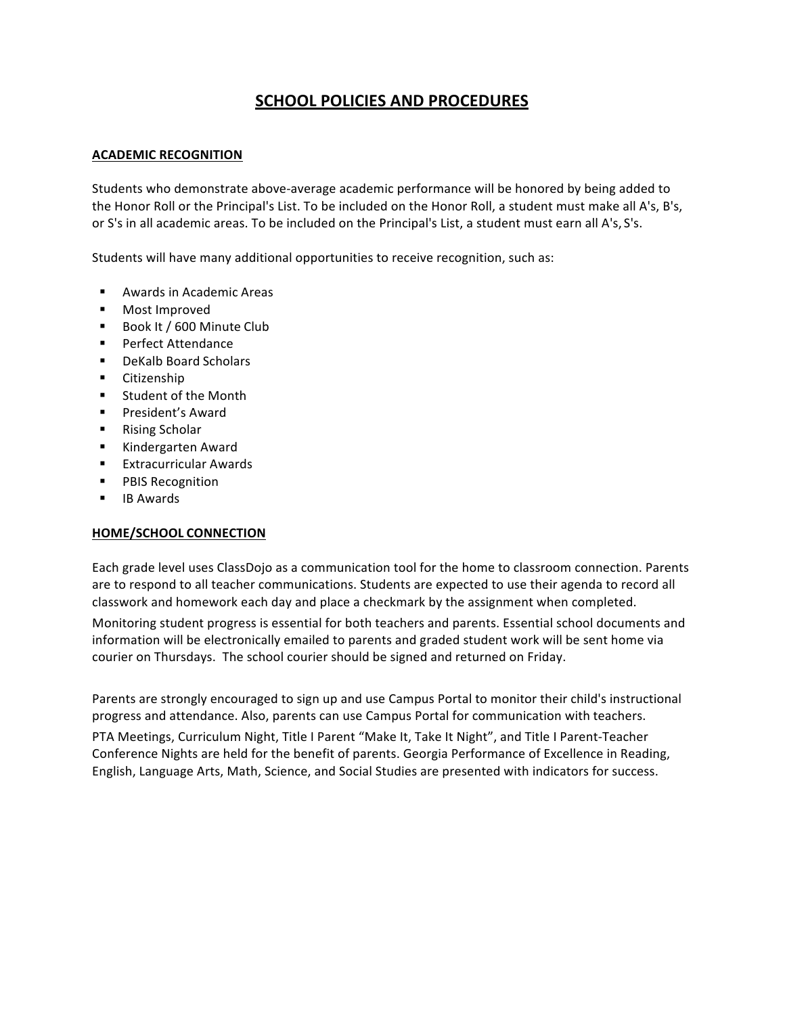# **SCHOOL POLICIES AND PROCEDURES**

# **ACADEMIC RECOGNITION**

Students who demonstrate above-average academic performance will be honored by being added to the Honor Roll or the Principal's List. To be included on the Honor Roll, a student must make all A's, B's, or S's in all academic areas. To be included on the Principal's List, a student must earn all A's, S's.

Students will have many additional opportunities to receive recognition, such as:

- Awards in Academic Areas
- Most Improved
- Book It / 600 Minute Club
- Perfect Attendance
- DeKalb Board Scholars
- § Citizenship
- Student of the Month
- President's Award
- Rising Scholar
- § Kindergarten Award
- Extracurricular Awards
- PBIS Recognition
- IB Awards

# **HOME/SCHOOL CONNECTION**

Each grade level uses ClassDojo as a communication tool for the home to classroom connection. Parents are to respond to all teacher communications. Students are expected to use their agenda to record all classwork and homework each day and place a checkmark by the assignment when completed.

Monitoring student progress is essential for both teachers and parents. Essential school documents and information will be electronically emailed to parents and graded student work will be sent home via courier on Thursdays. The school courier should be signed and returned on Friday.

Parents are strongly encouraged to sign up and use Campus Portal to monitor their child's instructional progress and attendance. Also, parents can use Campus Portal for communication with teachers.

PTA Meetings, Curriculum Night, Title I Parent "Make It, Take It Night", and Title I Parent-Teacher Conference Nights are held for the benefit of parents. Georgia Performance of Excellence in Reading, English, Language Arts, Math, Science, and Social Studies are presented with indicators for success.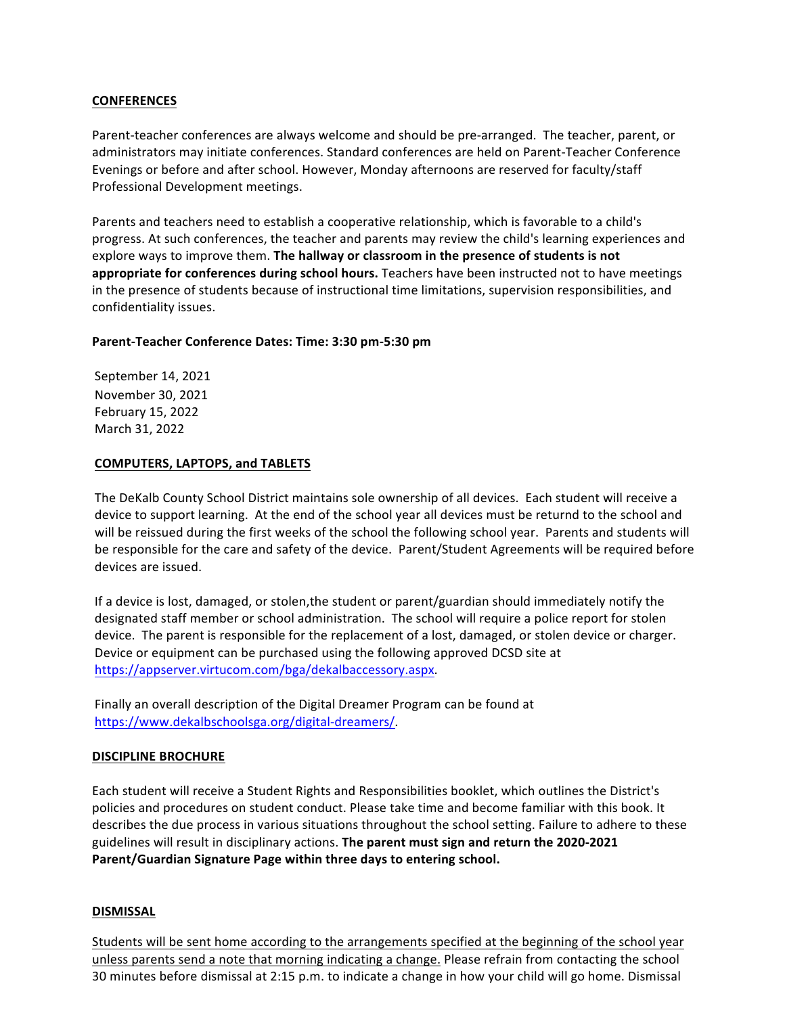#### **CONFERENCES**

Parent-teacher conferences are always welcome and should be pre-arranged. The teacher, parent, or administrators may initiate conferences. Standard conferences are held on Parent-Teacher Conference Evenings or before and after school. However, Monday afternoons are reserved for faculty/staff Professional Development meetings.

Parents and teachers need to establish a cooperative relationship, which is favorable to a child's progress. At such conferences, the teacher and parents may review the child's learning experiences and explore ways to improve them. **The hallway or classroom in the presence of students is not** appropriate for conferences during school hours. Teachers have been instructed not to have meetings in the presence of students because of instructional time limitations, supervision responsibilities, and confidentiality issues.

#### **Parent-Teacher Conference Dates: Time: 3:30 pm-5:30 pm**

September 14, 2021 November 30, 2021 February 15, 2022 March 31, 2022

#### **COMPUTERS, LAPTOPS, and TABLETS**

The DeKalb County School District maintains sole ownership of all devices. Each student will receive a device to support learning. At the end of the school year all devices must be returnd to the school and will be reissued during the first weeks of the school the following school year. Parents and students will be responsible for the care and safety of the device. Parent/Student Agreements will be required before devices are issued.

If a device is lost, damaged, or stolen, the student or parent/guardian should immediately notify the designated staff member or school administration. The school will require a police report for stolen device. The parent is responsible for the replacement of a lost, damaged, or stolen device or charger. Device or equipment can be purchased using the following approved DCSD site at https://appserver.virtucom.com/bga/dekalbaccessory.aspx.

Finally an overall description of the Digital Dreamer Program can be found at https://www.dekalbschoolsga.org/digital-dreamers/.

#### **DISCIPLINE BROCHURE**

Each student will receive a Student Rights and Responsibilities booklet, which outlines the District's policies and procedures on student conduct. Please take time and become familiar with this book. It describes the due process in various situations throughout the school setting. Failure to adhere to these guidelines will result in disciplinary actions. The parent must sign and return the 2020-2021 Parent/Guardian Signature Page within three days to entering school.

#### **DISMISSAL**

Students will be sent home according to the arrangements specified at the beginning of the school year unless parents send a note that morning indicating a change. Please refrain from contacting the school 30 minutes before dismissal at 2:15 p.m. to indicate a change in how your child will go home. Dismissal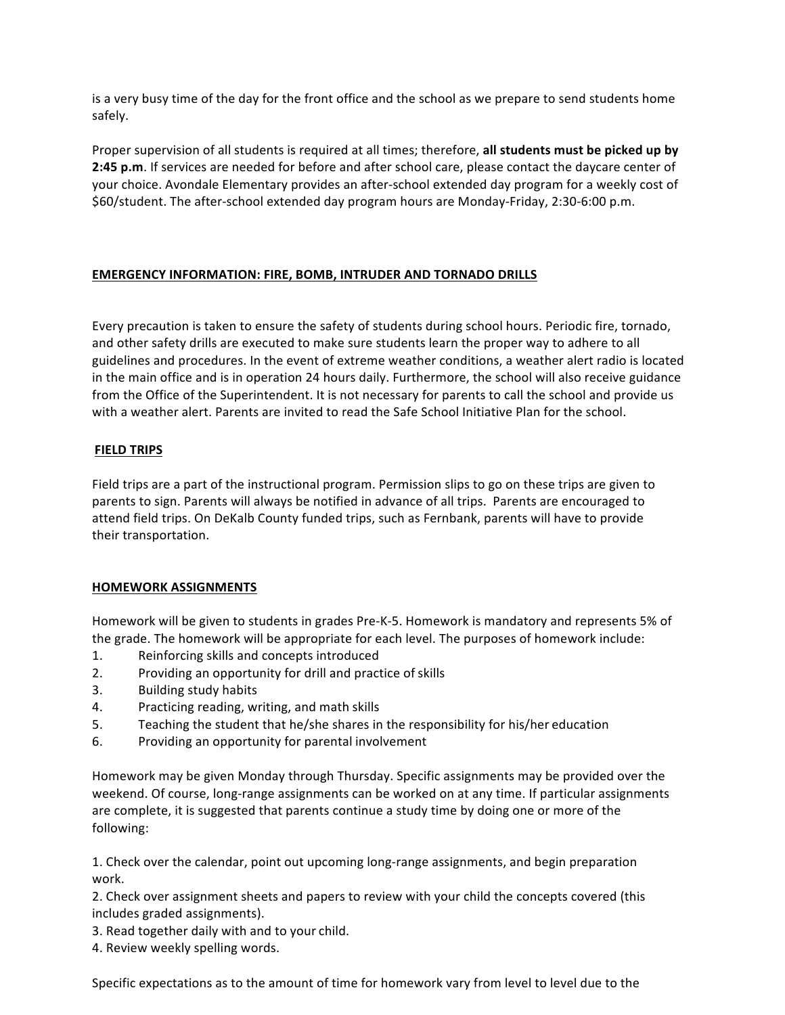is a very busy time of the day for the front office and the school as we prepare to send students home safely.

Proper supervision of all students is required at all times; therefore, all students must be picked up by **2:45** p.m. If services are needed for before and after school care, please contact the daycare center of your choice. Avondale Elementary provides an after-school extended day program for a weekly cost of \$60/student. The after-school extended day program hours are Monday-Friday, 2:30-6:00 p.m.

# **EMERGENCY INFORMATION: FIRE, BOMB, INTRUDER AND TORNADO DRILLS**

Every precaution is taken to ensure the safety of students during school hours. Periodic fire, tornado, and other safety drills are executed to make sure students learn the proper way to adhere to all guidelines and procedures. In the event of extreme weather conditions, a weather alert radio is located in the main office and is in operation 24 hours daily. Furthermore, the school will also receive guidance from the Office of the Superintendent. It is not necessary for parents to call the school and provide us with a weather alert. Parents are invited to read the Safe School Initiative Plan for the school.

# **FIELD TRIPS**

Field trips are a part of the instructional program. Permission slips to go on these trips are given to parents to sign. Parents will always be notified in advance of all trips. Parents are encouraged to attend field trips. On DeKalb County funded trips, such as Fernbank, parents will have to provide their transportation.

## **HOMEWORK ASSIGNMENTS**

Homework will be given to students in grades Pre-K-5. Homework is mandatory and represents 5% of the grade. The homework will be appropriate for each level. The purposes of homework include:

- 1. Reinforcing skills and concepts introduced
- 2. Providing an opportunity for drill and practice of skills
- 3. Building study habits
- 4. Practicing reading, writing, and math skills
- 5. Teaching the student that he/she shares in the responsibility for his/her education
- 6. Providing an opportunity for parental involvement

Homework may be given Monday through Thursday. Specific assignments may be provided over the weekend. Of course, long-range assignments can be worked on at any time. If particular assignments are complete, it is suggested that parents continue a study time by doing one or more of the following:

1. Check over the calendar, point out upcoming long-range assignments, and begin preparation work. 

2. Check over assignment sheets and papers to review with your child the concepts covered (this includes graded assignments).

3. Read together daily with and to your child.

4. Review weekly spelling words.

Specific expectations as to the amount of time for homework vary from level to level due to the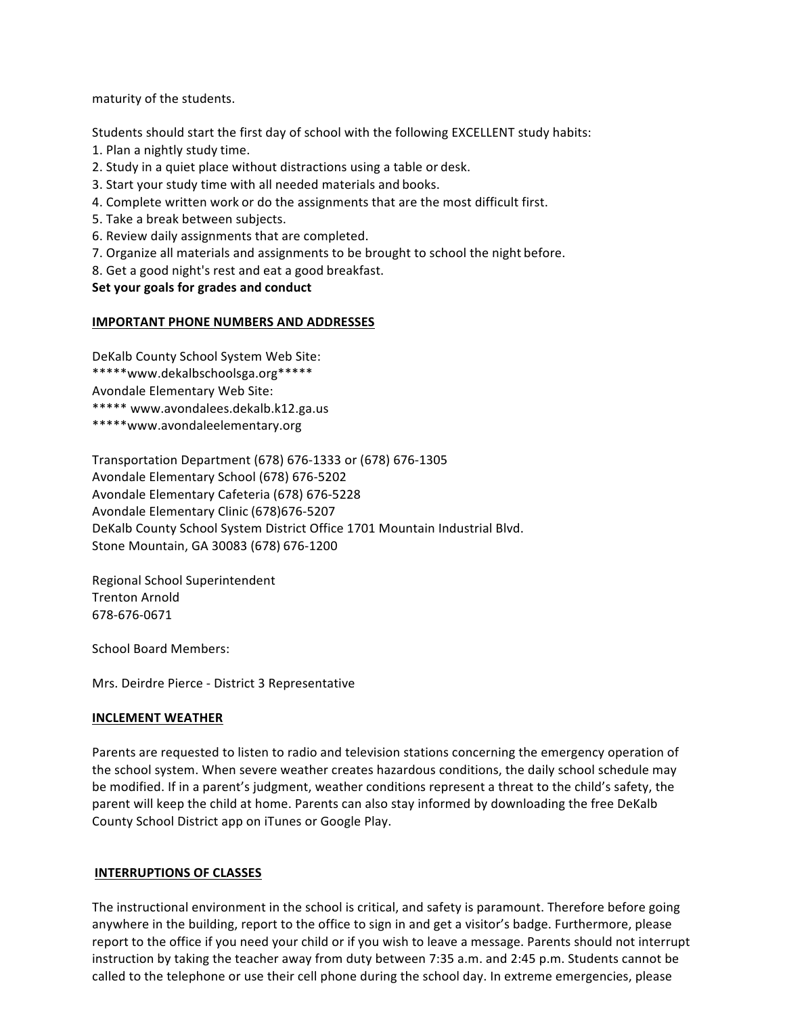maturity of the students.

Students should start the first day of school with the following EXCELLENT study habits:

- 1. Plan a nightly study time.
- 2. Study in a quiet place without distractions using a table or desk.
- 3. Start your study time with all needed materials and books.
- 4. Complete written work or do the assignments that are the most difficult first.
- 5. Take a break between subjects.
- 6. Review daily assignments that are completed.
- 7. Organize all materials and assignments to be brought to school the night before.
- 8. Get a good night's rest and eat a good breakfast.

# **Set your goals for grades and conduct**

#### **IMPORTANT PHONE NUMBERS AND ADDRESSES**

DeKalb County School System Web Site:

- \*\*\*\*\*www.dekalbschoolsga.org\*\*\*\*\*
- Avondale Elementary Web Site:
- \*\*\*\*\* www.avondalees.dekalb.k12.ga.us
- \*\*\*\*\*www.avondaleelementary.org

Transportation Department (678) 676-1333 or (678) 676-1305 Avondale Elementary School (678) 676-5202 Avondale Elementary Cafeteria (678) 676-5228 Avondale Elementary Clinic (678)676-5207 DeKalb County School System District Office 1701 Mountain Industrial Blvd. Stone Mountain, GA 30083 (678) 676-1200

Regional School Superintendent Trenton Arnold 678-676-0671

School Board Members:

Mrs. Deirdre Pierce - District 3 Representative

## **INCLEMENT WEATHER**

Parents are requested to listen to radio and television stations concerning the emergency operation of the school system. When severe weather creates hazardous conditions, the daily school schedule may be modified. If in a parent's judgment, weather conditions represent a threat to the child's safety, the parent will keep the child at home. Parents can also stay informed by downloading the free DeKalb County School District app on iTunes or Google Play.

## **INTERRUPTIONS OF CLASSES**

The instructional environment in the school is critical, and safety is paramount. Therefore before going anywhere in the building, report to the office to sign in and get a visitor's badge. Furthermore, please report to the office if you need your child or if you wish to leave a message. Parents should not interrupt instruction by taking the teacher away from duty between 7:35 a.m. and 2:45 p.m. Students cannot be called to the telephone or use their cell phone during the school day. In extreme emergencies, please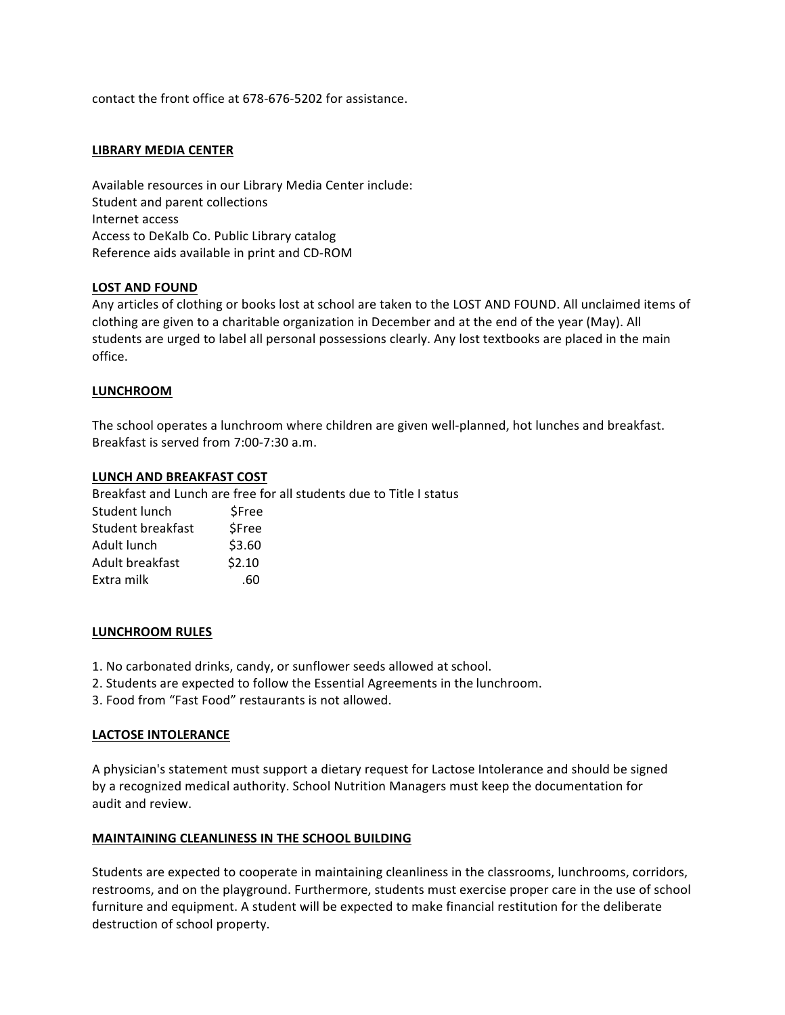contact the front office at 678-676-5202 for assistance.

#### **LIBRARY MEDIA CENTER**

Available resources in our Library Media Center include: Student and parent collections Internet access Access to DeKalb Co. Public Library catalog Reference aids available in print and CD-ROM

#### **LOST AND FOUND**

Any articles of clothing or books lost at school are taken to the LOST AND FOUND. All unclaimed items of clothing are given to a charitable organization in December and at the end of the year (May). All students are urged to label all personal possessions clearly. Any lost textbooks are placed in the main office.

#### **LUNCHROOM**

The school operates a lunchroom where children are given well-planned, hot lunches and breakfast. Breakfast is served from 7:00-7:30 a.m.

#### **LUNCH AND BREAKFAST COST**

Breakfast and Lunch are free for all students due to Title I status Student lunch \$Free Student breakfast \$Free Adult lunch \$3.60 Adult breakfast \$2.10 Extra milk .60

#### **LUNCHROOM RULES**

- 1. No carbonated drinks, candy, or sunflower seeds allowed at school.
- 2. Students are expected to follow the Essential Agreements in the lunchroom.
- 3. Food from "Fast Food" restaurants is not allowed.

#### LACTOSE INTOLERANCE

A physician's statement must support a dietary request for Lactose Intolerance and should be signed by a recognized medical authority. School Nutrition Managers must keep the documentation for audit and review.

#### **MAINTAINING CLEANLINESS IN THE SCHOOL BUILDING**

Students are expected to cooperate in maintaining cleanliness in the classrooms, lunchrooms, corridors, restrooms, and on the playground. Furthermore, students must exercise proper care in the use of school furniture and equipment. A student will be expected to make financial restitution for the deliberate destruction of school property.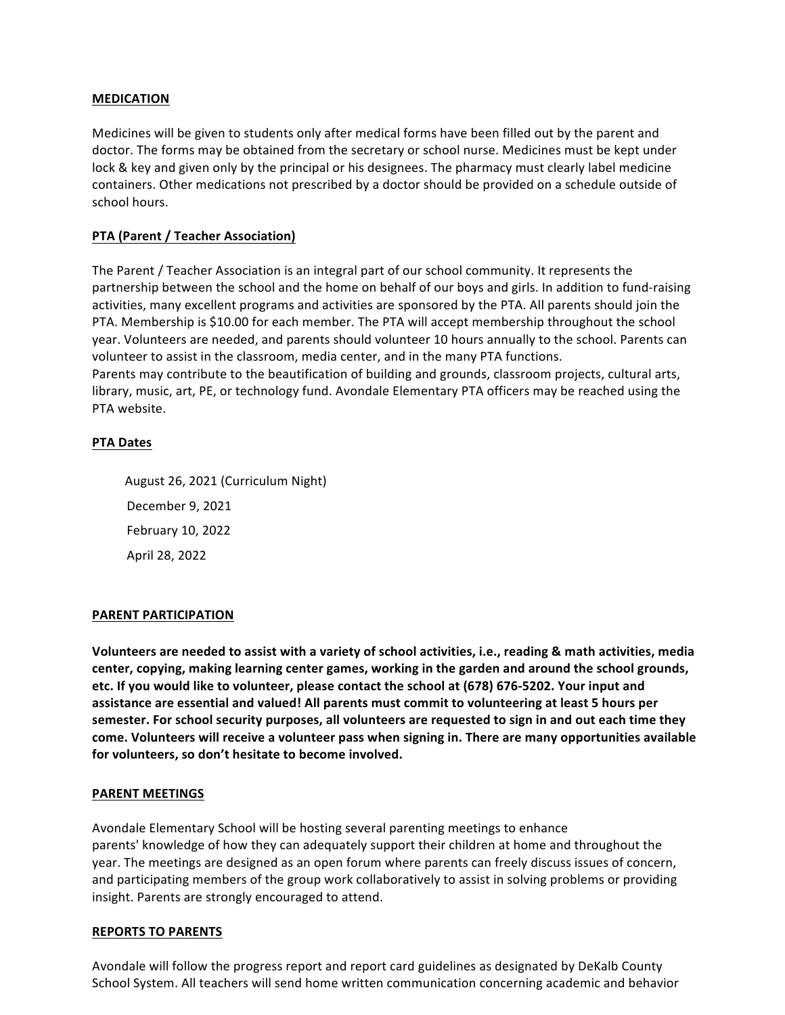#### **MEDICATION**

Medicines will be given to students only after medical forms have been filled out by the parent and doctor. The forms may be obtained from the secretary or school nurse. Medicines must be kept under lock & key and given only by the principal or his designees. The pharmacy must clearly label medicine containers. Other medications not prescribed by a doctor should be provided on a schedule outside of school hours.

## **PTA (Parent / Teacher Association)**

The Parent / Teacher Association is an integral part of our school community. It represents the partnership between the school and the home on behalf of our boys and girls. In addition to fund-raising activities, many excellent programs and activities are sponsored by the PTA. All parents should join the PTA. Membership is \$10.00 for each member. The PTA will accept membership throughout the school year. Volunteers are needed, and parents should volunteer 10 hours annually to the school. Parents can volunteer to assist in the classroom, media center, and in the many PTA functions. Parents may contribute to the beautification of building and grounds, classroom projects, cultural arts, library, music, art, PE, or technology fund. Avondale Elementary PTA officers may be reached using the PTA website.

## **PTA Dates**

August 26, 2021 (Curriculum Night) December 9, 2021 February 10, 2022 April 28, 2022

## **PARENT PARTICIPATION**

Volunteers are needed to assist with a variety of school activities, i.e., reading & math activities, media center, copying, making learning center games, working in the garden and around the school grounds, etc. If you would like to volunteer, please contact the school at (678) 676-5202. Your input and assistance are essential and valued! All parents must commit to volunteering at least 5 hours per semester. For school security purposes, all volunteers are requested to sign in and out each time they come. Volunteers will receive a volunteer pass when signing in. There are many opportunities available for volunteers, so don't hesitate to become involved.

## **PARENT MEETINGS**

Avondale Elementary School will be hosting several parenting meetings to enhance parents' knowledge of how they can adequately support their children at home and throughout the year. The meetings are designed as an open forum where parents can freely discuss issues of concern, and participating members of the group work collaboratively to assist in solving problems or providing insight. Parents are strongly encouraged to attend.

#### **REPORTS TO PARENTS**

Avondale will follow the progress report and report card guidelines as designated by DeKalb County School System. All teachers will send home written communication concerning academic and behavior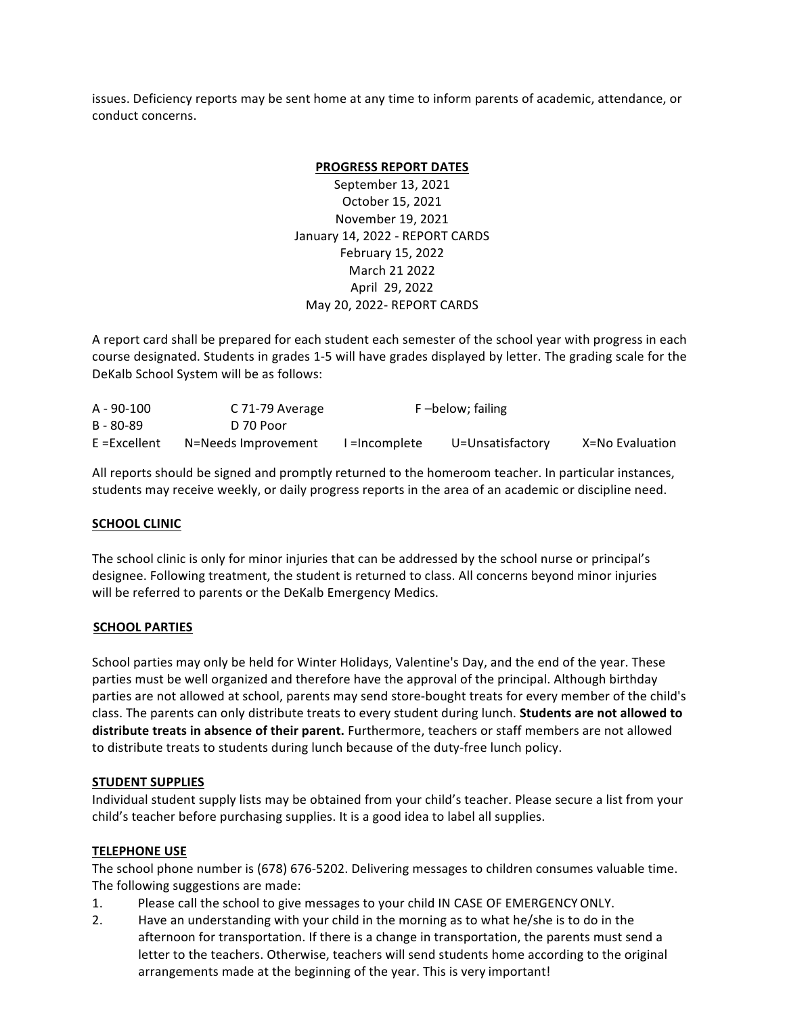issues. Deficiency reports may be sent home at any time to inform parents of academic, attendance, or conduct concerns.

#### **PROGRESS REPORT DATES**

September 13, 2021 October 15, 2021 November 19, 2021 January 14, 2022 - REPORT CARDS February 15, 2022 March 21 2022 April 29, 2022 May 20, 2022- REPORT CARDS

A report card shall be prepared for each student each semester of the school year with progress in each course designated. Students in grades 1-5 will have grades displayed by letter. The grading scale for the DeKalb School System will be as follows:

| $A - 90 - 100$ | C 71-79 Average     | F-below; failing |                  |                 |
|----------------|---------------------|------------------|------------------|-----------------|
| B - 80-89      | D 70 Poor           |                  |                  |                 |
| E =Excellent   | N=Needs Improvement | =Incomplete      | U=Unsatisfactory | X=No Evaluation |

All reports should be signed and promptly returned to the homeroom teacher. In particular instances, students may receive weekly, or daily progress reports in the area of an academic or discipline need.

## **SCHOOL CLINIC**

The school clinic is only for minor injuries that can be addressed by the school nurse or principal's designee. Following treatment, the student is returned to class. All concerns beyond minor injuries will be referred to parents or the DeKalb Emergency Medics.

## **SCHOOL PARTIES**

School parties may only be held for Winter Holidays, Valentine's Day, and the end of the year. These parties must be well organized and therefore have the approval of the principal. Although birthday parties are not allowed at school, parents may send store-bought treats for every member of the child's class. The parents can only distribute treats to every student during lunch. **Students are not allowed to distribute treats in absence of their parent.** Furthermore, teachers or staff members are not allowed to distribute treats to students during lunch because of the duty-free lunch policy.

## **STUDENT SUPPLIES**

Individual student supply lists may be obtained from your child's teacher. Please secure a list from your child's teacher before purchasing supplies. It is a good idea to label all supplies.

## **TELEPHONE USE**

The school phone number is (678) 676-5202. Delivering messages to children consumes valuable time. The following suggestions are made:

- 1. Please call the school to give messages to your child IN CASE OF EMERGENCY ONLY.
- 2. Have an understanding with your child in the morning as to what he/she is to do in the afternoon for transportation. If there is a change in transportation, the parents must send a letter to the teachers. Otherwise, teachers will send students home according to the original arrangements made at the beginning of the year. This is very important!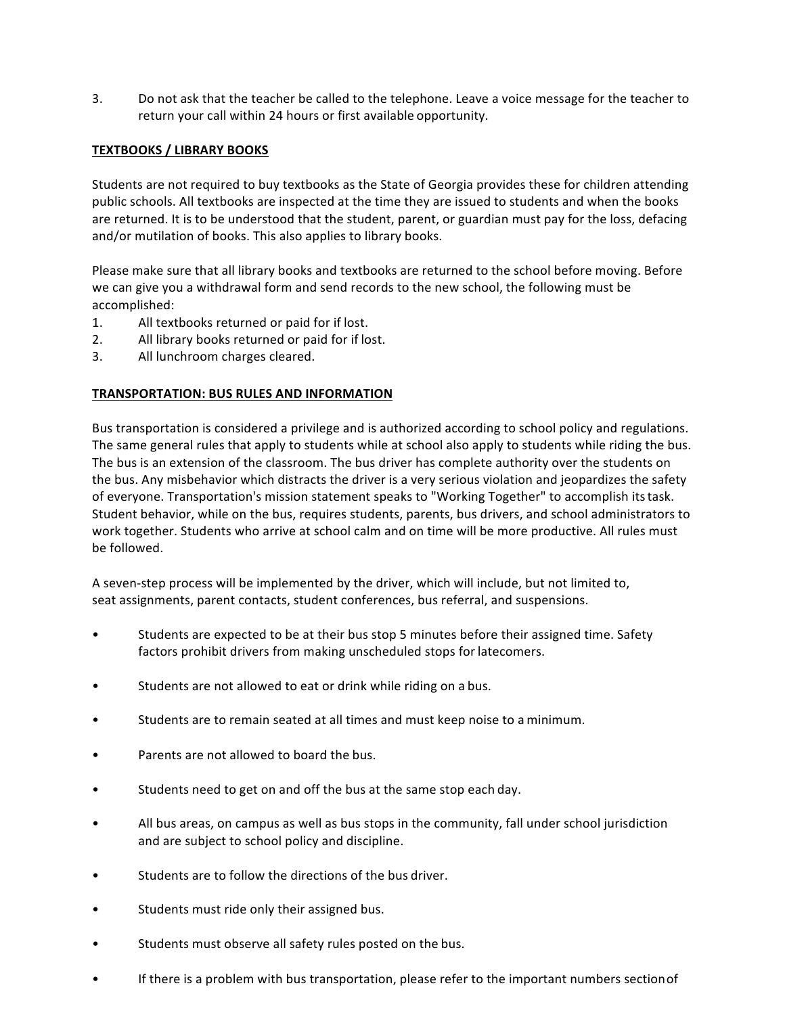3. Do not ask that the teacher be called to the telephone. Leave a voice message for the teacher to return your call within 24 hours or first available opportunity.

# **TEXTBOOKS / LIBRARY BOOKS**

Students are not required to buy textbooks as the State of Georgia provides these for children attending public schools. All textbooks are inspected at the time they are issued to students and when the books are returned. It is to be understood that the student, parent, or guardian must pay for the loss, defacing and/or mutilation of books. This also applies to library books.

Please make sure that all library books and textbooks are returned to the school before moving. Before we can give you a withdrawal form and send records to the new school, the following must be accomplished:

- 1. All textbooks returned or paid for if lost.
- 2. All library books returned or paid for if lost.
- 3. All lunchroom charges cleared.

## **TRANSPORTATION: BUS RULES AND INFORMATION**

Bus transportation is considered a privilege and is authorized according to school policy and regulations. The same general rules that apply to students while at school also apply to students while riding the bus. The bus is an extension of the classroom. The bus driver has complete authority over the students on the bus. Any misbehavior which distracts the driver is a very serious violation and jeopardizes the safety of everyone. Transportation's mission statement speaks to "Working Together" to accomplish its task. Student behavior, while on the bus, requires students, parents, bus drivers, and school administrators to work together. Students who arrive at school calm and on time will be more productive. All rules must be followed.

A seven-step process will be implemented by the driver, which will include, but not limited to, seat assignments, parent contacts, student conferences, bus referral, and suspensions.

- Students are expected to be at their bus stop 5 minutes before their assigned time. Safety factors prohibit drivers from making unscheduled stops for latecomers.
- Students are not allowed to eat or drink while riding on a bus.
- Students are to remain seated at all times and must keep noise to a minimum.
- Parents are not allowed to board the bus.
- Students need to get on and off the bus at the same stop each day.
- All bus areas, on campus as well as bus stops in the community, fall under school jurisdiction and are subject to school policy and discipline.
- Students are to follow the directions of the bus driver.
- Students must ride only their assigned bus.
- Students must observe all safety rules posted on the bus.
- If there is a problem with bus transportation, please refer to the important numbers sectionof